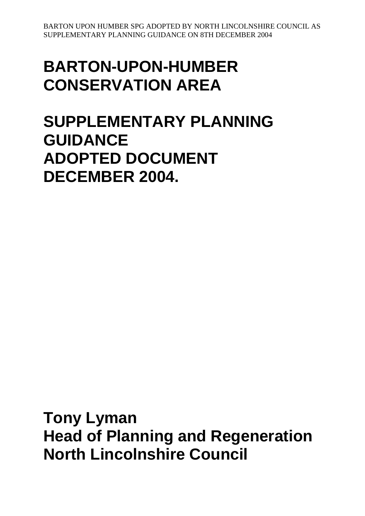# **BARTON-UPON-HUMBER CONSERVATION AREA**

# **SUPPLEMENTARY PLANNING GUIDANCE ADOPTED DOCUMENT DECEMBER 2004.**

**Tony Lyman Head of Planning and Regeneration North Lincolnshire Council**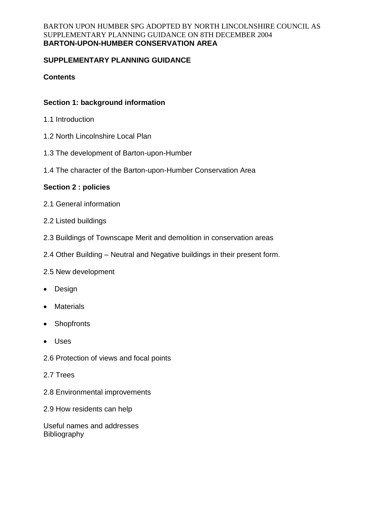#### BARTON UPON HUMBER SPG ADOPTED BY NORTH LINCOLNSHIRE COUNCIL AS SUPPLEMENTARY PLANNING GUIDANCE ON 8TH DECEMBER 2004 **BARTON-UPON-HUMBER CONSERVATION AREA**

# **SUPPLEMENTARY PLANNING GUIDANCE**

# **Contents**

# **Section 1: background information**

- 1.1 Introduction
- 1.2 North Lincolnshire Local Plan
- 1.3 The development of Barton-upon-Humber
- 1.4 The character of the Barton-upon-Humber Conservation Area

## **Section 2 : policies**

- 2.1 General information
- 2.2 Listed buildings
- 2.3 Buildings of Townscape Merit and demolition in conservation areas
- 2.4 Other Building Neutral and Negative buildings in their present form.
- 2.5 New development
- Design
- Materials
- Shopfronts
- Uses
- 2.6 Protection of views and focal points
- 2.7 Trees
- 2.8 Environmental improvements
- 2.9 How residents can help

Useful names and addresses Bibliography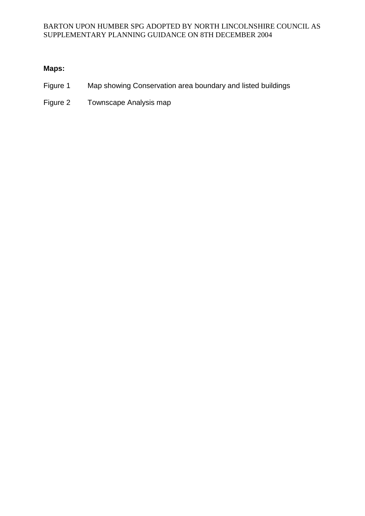# **Maps:**

- Figure 1 Map showing Conservation area boundary and listed buildings
- Figure 2 Townscape Analysis map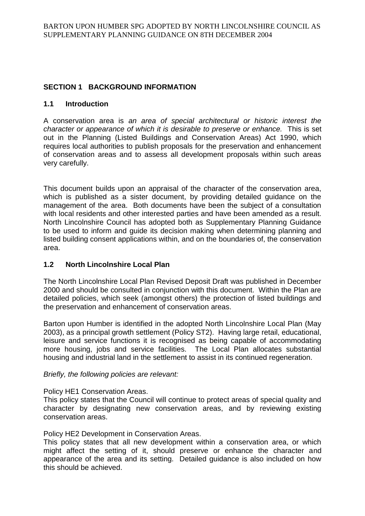# **SECTION 1 BACKGROUND INFORMATION**

### **1.1 Introduction**

A conservation area is *an area of special architectural or historic interest the character or appearance of which it is desirable to preserve or enhance.* This is set out in the Planning (Listed Buildings and Conservation Areas) Act 1990, which requires local authorities to publish proposals for the preservation and enhancement of conservation areas and to assess all development proposals within such areas very carefully.

This document builds upon an appraisal of the character of the conservation area, which is published as a sister document, by providing detailed guidance on the management of the area. Both documents have been the subject of a consultation with local residents and other interested parties and have been amended as a result. North Lincolnshire Council has adopted both as Supplementary Planning Guidance to be used to inform and guide its decision making when determining planning and listed building consent applications within, and on the boundaries of, the conservation area.

### **1.2 North Lincolnshire Local Plan**

The North Lincolnshire Local Plan Revised Deposit Draft was published in December 2000 and should be consulted in conjunction with this document. Within the Plan are detailed policies, which seek (amongst others) the protection of listed buildings and the preservation and enhancement of conservation areas.

Barton upon Humber is identified in the adopted North Lincolnshire Local Plan (May 2003), as a principal growth settlement (Policy ST2). Having large retail, educational, leisure and service functions it is recognised as being capable of accommodating more housing, jobs and service facilities. The Local Plan allocates substantial housing and industrial land in the settlement to assist in its continued regeneration.

### *Briefly, the following policies are relevant:*

### Policy HE1 Conservation Areas.

This policy states that the Council will continue to protect areas of special quality and character by designating new conservation areas, and by reviewing existing conservation areas.

### Policy HE2 Development in Conservation Areas.

This policy states that all new development within a conservation area, or which might affect the setting of it, should preserve or enhance the character and appearance of the area and its setting. Detailed guidance is also included on how this should be achieved.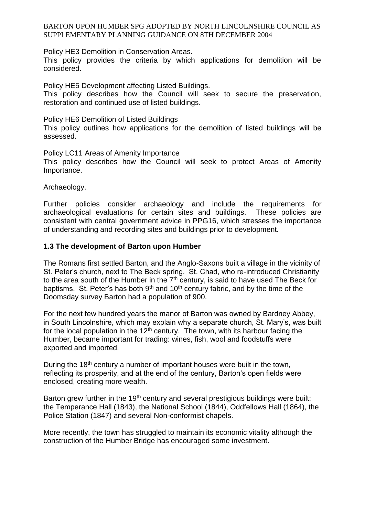Policy HE3 Demolition in Conservation Areas.

This policy provides the criteria by which applications for demolition will be considered.

Policy HE5 Development affecting Listed Buildings. This policy describes how the Council will seek to secure the preservation, restoration and continued use of listed buildings.

Policy HE6 Demolition of Listed Buildings

This policy outlines how applications for the demolition of listed buildings will be assessed.

Policy LC11 Areas of Amenity Importance

This policy describes how the Council will seek to protect Areas of Amenity Importance.

Archaeology.

Further policies consider archaeology and include the requirements for archaeological evaluations for certain sites and buildings. These policies are consistent with central government advice in PPG16, which stresses the importance of understanding and recording sites and buildings prior to development.

### **1.3 The development of Barton upon Humber**

The Romans first settled Barton, and the Anglo-Saxons built a village in the vicinity of St. Peter's church, next to The Beck spring. St. Chad, who re-introduced Christianity to the area south of the Humber in the  $7<sup>th</sup>$  century, is said to have used The Beck for baptisms. St. Peter's has both  $9<sup>th</sup>$  and  $10<sup>th</sup>$  century fabric, and by the time of the Doomsday survey Barton had a population of 900.

For the next few hundred years the manor of Barton was owned by Bardney Abbey, in South Lincolnshire, which may explain why a separate church, St. Mary's, was built for the local population in the  $12<sup>th</sup>$  century. The town, with its harbour facing the Humber, became important for trading: wines, fish, wool and foodstuffs were exported and imported.

During the 18<sup>th</sup> century a number of important houses were built in the town, reflecting its prosperity, and at the end of the century, Barton's open fields were enclosed, creating more wealth.

Barton grew further in the  $19<sup>th</sup>$  century and several prestigious buildings were built: the Temperance Hall (1843), the National School (1844), Oddfellows Hall (1864), the Police Station (1847) and several Non-conformist chapels.

More recently, the town has struggled to maintain its economic vitality although the construction of the Humber Bridge has encouraged some investment.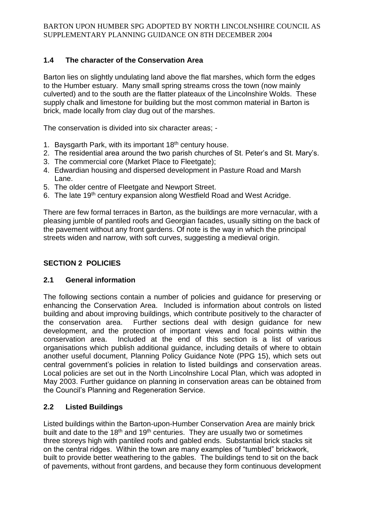# **1.4 The character of the Conservation Area**

Barton lies on slightly undulating land above the flat marshes, which form the edges to the Humber estuary. Many small spring streams cross the town (now mainly culverted) and to the south are the flatter plateaux of the Lincolnshire Wolds. These supply chalk and limestone for building but the most common material in Barton is brick, made locally from clay dug out of the marshes.

The conservation is divided into six character areas; -

- 1. Baysgarth Park, with its important 18<sup>th</sup> century house.
- 2. The residential area around the two parish churches of St. Peter's and St. Mary's.
- 3. The commercial core (Market Place to Fleetgate);
- 4. Edwardian housing and dispersed development in Pasture Road and Marsh Lane.
- 5. The older centre of Fleetgate and Newport Street.
- 6. The late 19th century expansion along Westfield Road and West Acridge.

There are few formal terraces in Barton, as the buildings are more vernacular, with a pleasing jumble of pantiled roofs and Georgian facades, usually sitting on the back of the pavement without any front gardens. Of note is the way in which the principal streets widen and narrow, with soft curves, suggesting a medieval origin.

# **SECTION 2 POLICIES**

# **2.1 General information**

The following sections contain a number of policies and guidance for preserving or enhancing the Conservation Area. Included is information about controls on listed building and about improving buildings, which contribute positively to the character of the conservation area. Further sections deal with design guidance for new development, and the protection of important views and focal points within the conservation area. Included at the end of this section is a list of various organisations which publish additional guidance, including details of where to obtain another useful document, Planning Policy Guidance Note (PPG 15), which sets out central government's policies in relation to listed buildings and conservation areas. Local policies are set out in the North Lincolnshire Local Plan, which was adopted in May 2003. Further guidance on planning in conservation areas can be obtained from the Council's Planning and Regeneration Service.

# **2.2 Listed Buildings**

Listed buildings within the Barton-upon-Humber Conservation Area are mainly brick built and date to the  $18<sup>th</sup>$  and  $19<sup>th</sup>$  centuries. They are usually two or sometimes three storeys high with pantiled roofs and gabled ends. Substantial brick stacks sit on the central ridges. Within the town are many examples of "tumbled" brickwork, built to provide better weathering to the gables. The buildings tend to sit on the back of pavements, without front gardens, and because they form continuous development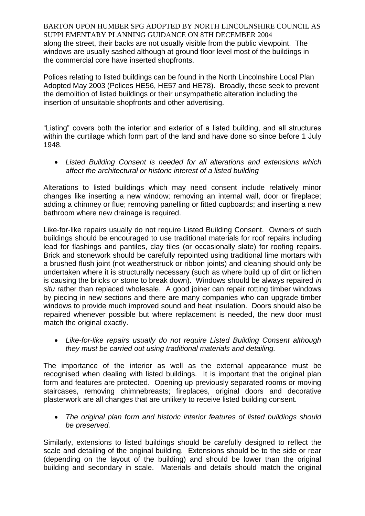BARTON UPON HUMBER SPG ADOPTED BY NORTH LINCOLNSHIRE COUNCIL AS SUPPLEMENTARY PLANNING GUIDANCE ON 8TH DECEMBER 2004 along the street, their backs are not usually visible from the public viewpoint. The windows are usually sashed although at ground floor level most of the buildings in the commercial core have inserted shopfronts.

Polices relating to listed buildings can be found in the North Lincolnshire Local Plan Adopted May 2003 (Polices HE56, HE57 and HE78). Broadly, these seek to prevent the demolition of listed buildings or their unsympathetic alteration including the insertion of unsuitable shopfronts and other advertising.

"Listing" covers both the interior and exterior of a listed building, and all structures within the curtilage which form part of the land and have done so since before 1 July 1948.

 *Listed Building Consent is needed for all alterations and extensions which affect the architectural or historic interest of a listed building*

Alterations to listed buildings which may need consent include relatively minor changes like inserting a new window; removing an internal wall, door or fireplace; adding a chimney or flue; removing panelling or fitted cupboards; and inserting a new bathroom where new drainage is required.

Like-for-like repairs usually do not require Listed Building Consent. Owners of such buildings should be encouraged to use traditional materials for roof repairs including lead for flashings and pantiles, clay tiles (or occasionally slate) for roofing repairs. Brick and stonework should be carefully repointed using traditional lime mortars with a brushed flush joint (not weatherstruck or ribbon joints) and cleaning should only be undertaken where it is structurally necessary (such as where build up of dirt or lichen is causing the bricks or stone to break down). Windows should be always repaired *in situ* rather than replaced wholesale. A good joiner can repair rotting timber windows by piecing in new sections and there are many companies who can upgrade timber windows to provide much improved sound and heat insulation. Doors should also be repaired whenever possible but where replacement is needed, the new door must match the original exactly.

 *Like-for-like repairs usually do not require Listed Building Consent although they must be carried out using traditional materials and detailing.*

The importance of the interior as well as the external appearance must be recognised when dealing with listed buildings. It is important that the original plan form and features are protected. Opening up previously separated rooms or moving staircases, removing chimnebreasts; fireplaces, original doors and decorative plasterwork are all changes that are unlikely to receive listed building consent.

 *The original plan form and historic interior features of listed buildings should be preserved.*

Similarly, extensions to listed buildings should be carefully designed to reflect the scale and detailing of the original building. Extensions should be to the side or rear (depending on the layout of the building) and should be lower than the original building and secondary in scale. Materials and details should match the original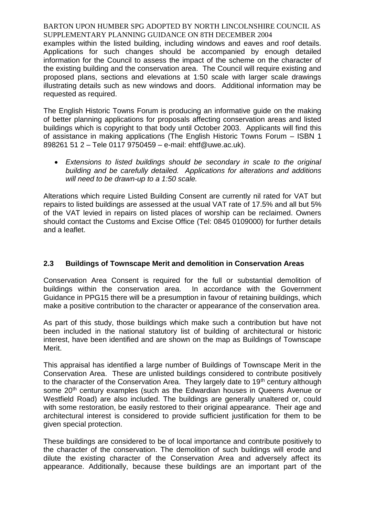examples within the listed building, including windows and eaves and roof details. Applications for such changes should be accompanied by enough detailed information for the Council to assess the impact of the scheme on the character of the existing building and the conservation area. The Council will require existing and proposed plans, sections and elevations at 1:50 scale with larger scale drawings illustrating details such as new windows and doors. Additional information may be requested as required.

The English Historic Towns Forum is producing an informative guide on the making of better planning applications for proposals affecting conservation areas and listed buildings which is copyright to that body until October 2003. Applicants will find this of assistance in making applications (The English Historic Towns Forum – ISBN 1 898261 51 2 – Tele 0117 9750459 – e-mail: ehtf@uwe.ac.uk).

 *Extensions to listed buildings should be secondary in scale to the original building and be carefully detailed. Applications for alterations and additions will need to be drawn-up to a 1:50 scale.*

Alterations which require Listed Building Consent are currently nil rated for VAT but repairs to listed buildings are assessed at the usual VAT rate of 17.5% and all but 5% of the VAT levied in repairs on listed places of worship can be reclaimed. Owners should contact the Customs and Excise Office (Tel: 0845 0109000) for further details and a leaflet.

# **2.3 Buildings of Townscape Merit and demolition in Conservation Areas**

Conservation Area Consent is required for the full or substantial demolition of buildings within the conservation area. In accordance with the Government Guidance in PPG15 there will be a presumption in favour of retaining buildings, which make a positive contribution to the character or appearance of the conservation area.

As part of this study, those buildings which make such a contribution but have not been included in the national statutory list of building of architectural or historic interest, have been identified and are shown on the map as Buildings of Townscape Merit.

This appraisal has identified a large number of Buildings of Townscape Merit in the Conservation Area. These are unlisted buildings considered to contribute positively to the character of the Conservation Area. They largely date to 19<sup>th</sup> century although some 20<sup>th</sup> century examples (such as the Edwardian houses in Queens Avenue or Westfield Road) are also included. The buildings are generally unaltered or, could with some restoration, be easily restored to their original appearance. Their age and architectural interest is considered to provide sufficient justification for them to be given special protection.

These buildings are considered to be of local importance and contribute positively to the character of the conservation. The demolition of such buildings will erode and dilute the existing character of the Conservation Area and adversely affect its appearance. Additionally, because these buildings are an important part of the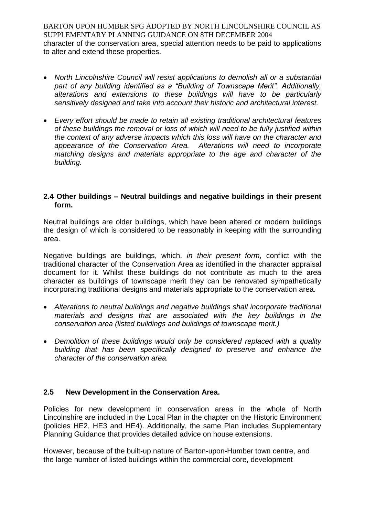BARTON UPON HUMBER SPG ADOPTED BY NORTH LINCOLNSHIRE COUNCIL AS SUPPLEMENTARY PLANNING GUIDANCE ON 8TH DECEMBER 2004 character of the conservation area, special attention needs to be paid to applications to alter and extend these properties.

- *North Lincolnshire Council will resist applications to demolish all or a substantial part of any building identified as a "Building of Townscape Merit". Additionally, alterations and extensions to these buildings will have to be particularly sensitively designed and take into account their historic and architectural interest.*
- *Every effort should be made to retain all existing traditional architectural features of these buildings the removal or loss of which will need to be fully justified within the context of any adverse impacts which this loss will have on the character and appearance of the Conservation Area. Alterations will need to incorporate matching designs and materials appropriate to the age and character of the building.*

## **2.4 Other buildings – Neutral buildings and negative buildings in their present form.**

Neutral buildings are older buildings, which have been altered or modern buildings the design of which is considered to be reasonably in keeping with the surrounding area.

Negative buildings are buildings, which, *in their present form*, conflict with the traditional character of the Conservation Area as identified in the character appraisal document for it. Whilst these buildings do not contribute as much to the area character as buildings of townscape merit they can be renovated sympathetically incorporating traditional designs and materials appropriate to the conservation area.

- *Alterations to neutral buildings and negative buildings shall incorporate traditional materials and designs that are associated with the key buildings in the conservation area (listed buildings and buildings of townscape merit.)*
- *Demolition of these buildings would only be considered replaced with a quality building that has been specifically designed to preserve and enhance the character of the conservation area.*

# **2.5 New Development in the Conservation Area.**

Policies for new development in conservation areas in the whole of North Lincolnshire are included in the Local Plan in the chapter on the Historic Environment (policies HE2, HE3 and HE4). Additionally, the same Plan includes Supplementary Planning Guidance that provides detailed advice on house extensions.

However, because of the built-up nature of Barton-upon-Humber town centre, and the large number of listed buildings within the commercial core, development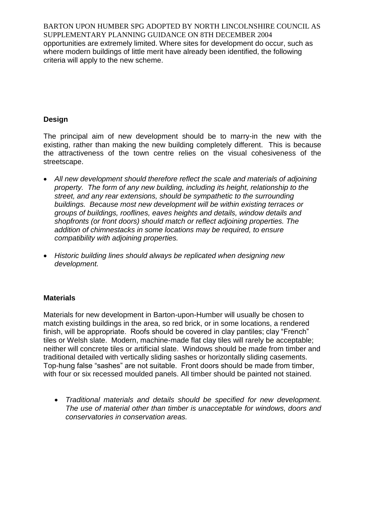BARTON UPON HUMBER SPG ADOPTED BY NORTH LINCOLNSHIRE COUNCIL AS SUPPLEMENTARY PLANNING GUIDANCE ON 8TH DECEMBER 2004 opportunities are extremely limited. Where sites for development do occur, such as where modern buildings of little merit have already been identified, the following criteria will apply to the new scheme.

# **Design**

The principal aim of new development should be to marry-in the new with the existing, rather than making the new building completely different. This is because the attractiveness of the town centre relies on the visual cohesiveness of the streetscape.

- *All new development should therefore reflect the scale and materials of adjoining property. The form of any new building, including its height, relationship to the street, and any rear extensions, should be sympathetic to the surrounding buildings. Because most new development will be within existing terraces or groups of buildings, rooflines, eaves heights and details, window details and shopfronts (or front doors) should match or reflect adjoining properties. The addition of chimnestacks in some locations may be required, to ensure compatibility with adjoining properties.*
- *Historic building lines should always be replicated when designing new development.*

# **Materials**

Materials for new development in Barton-upon-Humber will usually be chosen to match existing buildings in the area, so red brick, or in some locations, a rendered finish, will be appropriate. Roofs should be covered in clay pantiles; clay "French" tiles or Welsh slate. Modern, machine-made flat clay tiles will rarely be acceptable; neither will concrete tiles or artificial slate. Windows should be made from timber and traditional detailed with vertically sliding sashes or horizontally sliding casements. Top-hung false "sashes" are not suitable. Front doors should be made from timber, with four or six recessed moulded panels. All timber should be painted not stained.

 *Traditional materials and details should be specified for new development. The use of material other than timber is unacceptable for windows, doors and conservatories in conservation areas.*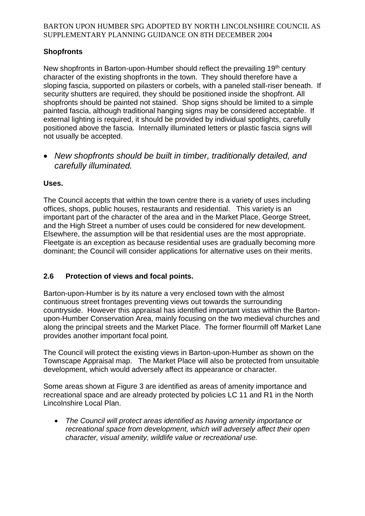# **Shopfronts**

New shopfronts in Barton-upon-Humber should reflect the prevailing 19<sup>th</sup> century character of the existing shopfronts in the town. They should therefore have a sloping fascia, supported on pilasters or corbels, with a paneled stall-riser beneath. If security shutters are required, they should be positioned inside the shopfront. All shopfronts should be painted not stained. Shop signs should be limited to a simple painted fascia, although traditional hanging signs may be considered acceptable. If external lighting is required, it should be provided by individual spotlights, carefully positioned above the fascia. Internally illuminated letters or plastic fascia signs will not usually be accepted.

 *New shopfronts should be built in timber, traditionally detailed, and carefully illuminated.*

# **Uses.**

The Council accepts that within the town centre there is a variety of uses including offices, shops, public houses, restaurants and residential. This variety is an important part of the character of the area and in the Market Place, George Street, and the High Street a number of uses could be considered for new development. Elsewhere, the assumption will be that residential uses are the most appropriate. Fleetgate is an exception as because residential uses are gradually becoming more dominant; the Council will consider applications for alternative uses on their merits.

# **2.6 Protection of views and focal points.**

Barton-upon-Humber is by its nature a very enclosed town with the almost continuous street frontages preventing views out towards the surrounding countryside. However this appraisal has identified important vistas within the Bartonupon-Humber Conservation Area, mainly focusing on the two medieval churches and along the principal streets and the Market Place. The former flourmill off Market Lane provides another important focal point.

The Council will protect the existing views in Barton-upon-Humber as shown on the Townscape Appraisal map. The Market Place will also be protected from unsuitable development, which would adversely affect its appearance or character.

Some areas shown at Figure 3 are identified as areas of amenity importance and recreational space and are already protected by policies LC 11 and R1 in the North Lincolnshire Local Plan.

 *The Council will protect areas identified as having amenity importance or recreational space from development, which will adversely affect their open character, visual amenity, wildlife value or recreational use.*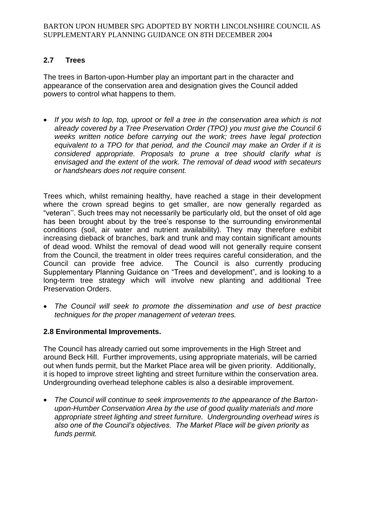# **2.7 Trees**

The trees in Barton-upon-Humber play an important part in the character and appearance of the conservation area and designation gives the Council added powers to control what happens to them.

• If you wish to lop, top, uproot or fell a tree in the conservation area which is not *already covered by a Tree Preservation Order (TPO) you must give the Council 6 weeks written notice before carrying out the work; trees have legal protection equivalent to a TPO for that period, and the Council may make an Order if it is considered appropriate. Proposals to prune a tree should clarify what is envisaged and the extent of the work. The removal of dead wood with secateurs or handshears does not require consent.*

Trees which, whilst remaining healthy, have reached a stage in their development where the crown spread begins to get smaller, are now generally regarded as "veteran''. Such trees may not necessarily be particularly old, but the onset of old age has been brought about by the tree's response to the surrounding environmental conditions (soil, air water and nutrient availability). They may therefore exhibit increasing dieback of branches, bark and trunk and may contain significant amounts of dead wood. Whilst the removal of dead wood will not generally require consent from the Council, the treatment in older trees requires careful consideration, and the Council can provide free advice. The Council is also currently producing Supplementary Planning Guidance on "Trees and development", and is looking to a long-term tree strategy which will involve new planting and additional Tree Preservation Orders.

 *The Council will seek to promote the dissemination and use of best practice techniques for the proper management of veteran trees.* 

# **2.8 Environmental Improvements.**

The Council has already carried out some improvements in the High Street and around Beck Hill. Further improvements, using appropriate materials, will be carried out when funds permit, but the Market Place area will be given priority. Additionally, it is hoped to improve street lighting and street furniture within the conservation area. Undergrounding overhead telephone cables is also a desirable improvement.

 *The Council will continue to seek improvements to the appearance of the Bartonupon-Humber Conservation Area by the use of good quality materials and more appropriate street lighting and street furniture. Undergrounding overhead wires is also one of the Council's objectives. The Market Place will be given priority as funds permit.*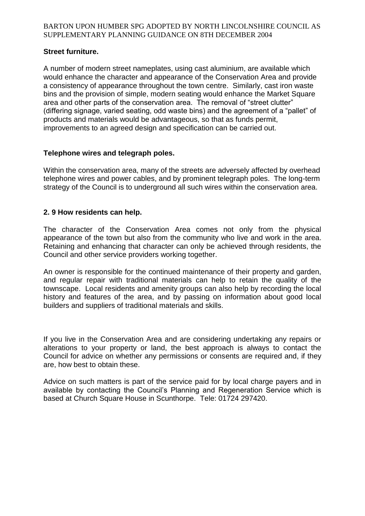### **Street furniture.**

A number of modern street nameplates, using cast aluminium, are available which would enhance the character and appearance of the Conservation Area and provide a consistency of appearance throughout the town centre. Similarly, cast iron waste bins and the provision of simple, modern seating would enhance the Market Square area and other parts of the conservation area. The removal of "street clutter" (differing signage, varied seating, odd waste bins) and the agreement of a "pallet" of products and materials would be advantageous, so that as funds permit, improvements to an agreed design and specification can be carried out.

## **Telephone wires and telegraph poles.**

Within the conservation area, many of the streets are adversely affected by overhead telephone wires and power cables, and by prominent telegraph poles. The long-term strategy of the Council is to underground all such wires within the conservation area.

## **2. 9 How residents can help.**

The character of the Conservation Area comes not only from the physical appearance of the town but also from the community who live and work in the area. Retaining and enhancing that character can only be achieved through residents, the Council and other service providers working together.

An owner is responsible for the continued maintenance of their property and garden, and regular repair with traditional materials can help to retain the quality of the townscape. Local residents and amenity groups can also help by recording the local history and features of the area, and by passing on information about good local builders and suppliers of traditional materials and skills.

If you live in the Conservation Area and are considering undertaking any repairs or alterations to your property or land, the best approach is always to contact the Council for advice on whether any permissions or consents are required and, if they are, how best to obtain these.

Advice on such matters is part of the service paid for by local charge payers and in available by contacting the Council's Planning and Regeneration Service which is based at Church Square House in Scunthorpe. Tele: 01724 297420.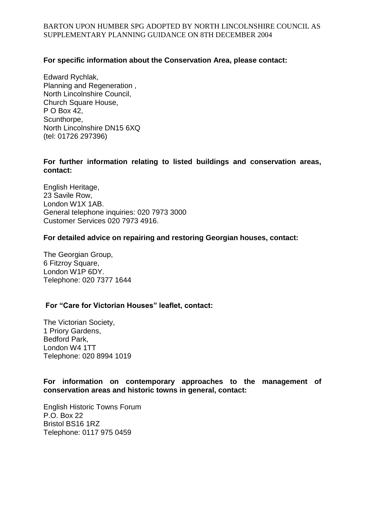### **For specific information about the Conservation Area, please contact:**

Edward Rychlak, Planning and Regeneration , North Lincolnshire Council, Church Square House, P O Box 42, Scunthorpe, North Lincolnshire DN15 6XQ (tel: 01726 297396)

#### **For further information relating to listed buildings and conservation areas, contact:**

English Heritage, 23 Savile Row, London W1X 1AB. General telephone inquiries: 020 7973 3000 Customer Services 020 7973 4916.

#### **For detailed advice on repairing and restoring Georgian houses, contact:**

The Georgian Group, 6 Fitzroy Square, London W1P 6DY. Telephone: 020 7377 1644

### **For "Care for Victorian Houses" leaflet, contact:**

The Victorian Society, 1 Priory Gardens, Bedford Park, London W4 1TT Telephone: 020 8994 1019

### **For information on contemporary approaches to the management of conservation areas and historic towns in general, contact:**

English Historic Towns Forum P.O. Box 22 Bristol BS16 1RZ Telephone: 0117 975 0459